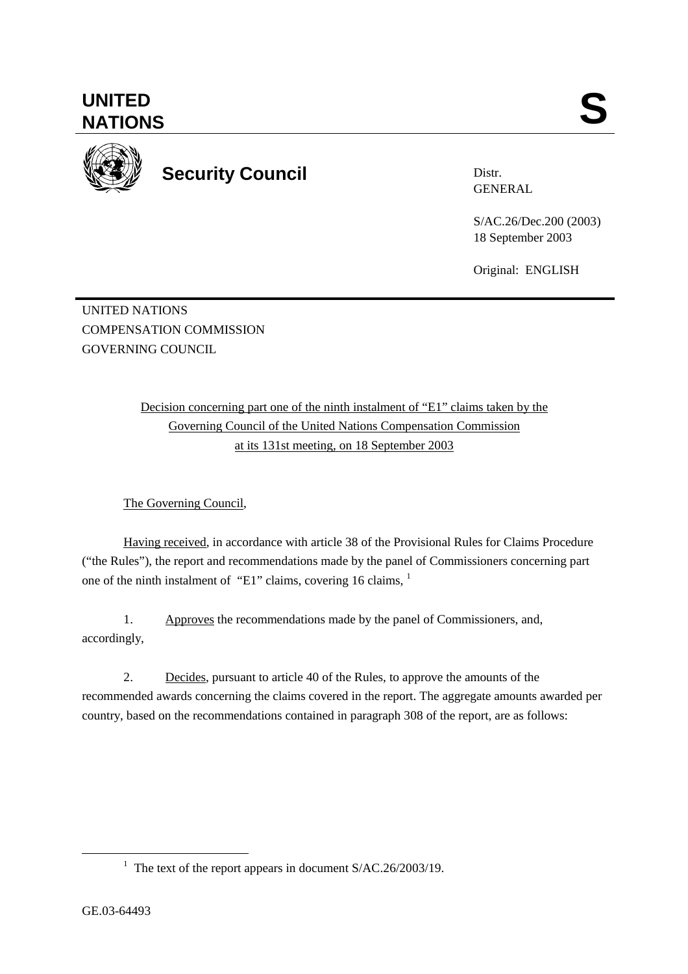**UNITED**  UNITED SANTIONS



**Security Council** 

Distr. GENERAL

S/AC.26/Dec.200 (2003) 18 September 2003

Original: ENGLISH

UNITED NATIONS COMPENSATION COMMISSION GOVERNING COUNCIL

> Decision concerning part one of the ninth instalment of "E1" claims taken by the Governing Council of the United Nations Compensation Commission at its 131st meeting, on 18 September 2003

The Governing Council,

Having received, in accordance with article 38 of the Provisional Rules for Claims Procedure ("the Rules"), the report and recommendations made by the panel of Commissioners concerning part one of the ninth instalment of "E1" claims, covering 16 claims, <sup>1</sup>

1. Approves the recommendations made by the panel of Commissioners, and, accordingly,

2. Decides, pursuant to article 40 of the Rules, to approve the amounts of the recommended awards concerning the claims covered in the report. The aggregate amounts awarded per country, based on the recommendations contained in paragraph 308 of the report, are as follows:

<sup>&</sup>lt;u>1</u> <sup>1</sup> The text of the report appears in document  $S/AC.26/2003/19$ .